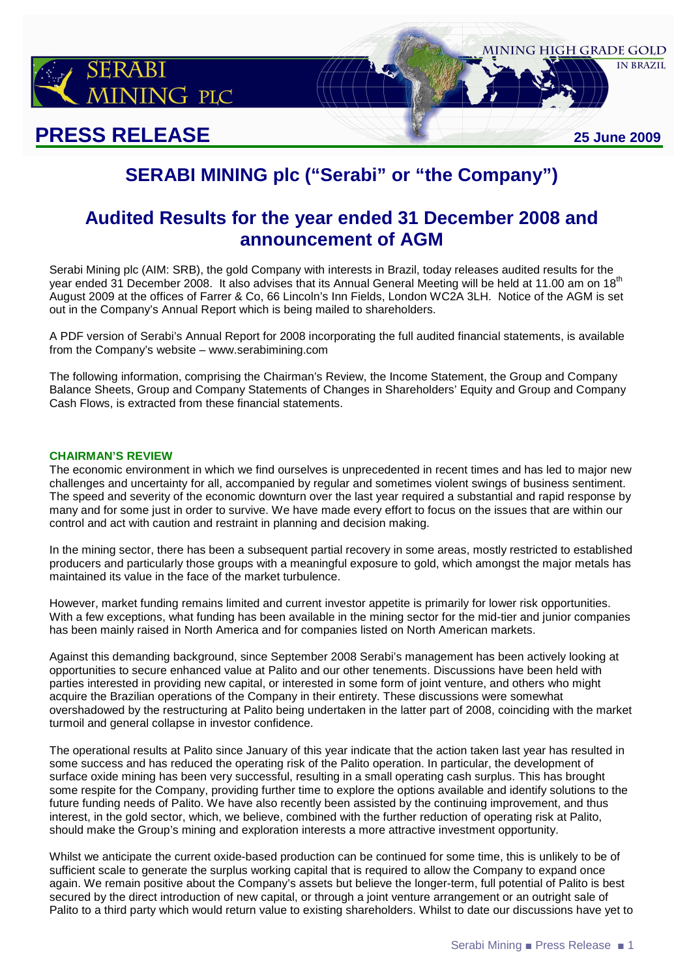

# **PRESS RELEASE 25 June 2009**

# **SERABI MINING plc ("Serabi" or "the Company")**

## **Audited Results for the year ended 31 December 2008 and announcement of AGM**

Serabi Mining plc (AIM: SRB), the gold Company with interests in Brazil, today releases audited results for the year ended 31 December 2008. It also advises that its Annual General Meeting will be held at 11.00 am on 18<sup>th</sup> August 2009 at the offices of Farrer & Co, 66 Lincoln's Inn Fields, London WC2A 3LH. Notice of the AGM is set out in the Company's Annual Report which is being mailed to shareholders.

A PDF version of Serabi's Annual Report for 2008 incorporating the full audited financial statements, is available from the Company's website – www.serabimining.com

The following information, comprising the Chairman's Review, the Income Statement, the Group and Company Balance Sheets, Group and Company Statements of Changes in Shareholders' Equity and Group and Company Cash Flows, is extracted from these financial statements.

#### **CHAIRMAN'S REVIEW**

The economic environment in which we find ourselves is unprecedented in recent times and has led to major new challenges and uncertainty for all, accompanied by regular and sometimes violent swings of business sentiment. The speed and severity of the economic downturn over the last year required a substantial and rapid response by many and for some just in order to survive. We have made every effort to focus on the issues that are within our control and act with caution and restraint in planning and decision making.

In the mining sector, there has been a subsequent partial recovery in some areas, mostly restricted to established producers and particularly those groups with a meaningful exposure to gold, which amongst the major metals has maintained its value in the face of the market turbulence.

However, market funding remains limited and current investor appetite is primarily for lower risk opportunities. With a few exceptions, what funding has been available in the mining sector for the mid-tier and junior companies has been mainly raised in North America and for companies listed on North American markets.

Against this demanding background, since September 2008 Serabi's management has been actively looking at opportunities to secure enhanced value at Palito and our other tenements. Discussions have been held with parties interested in providing new capital, or interested in some form of joint venture, and others who might acquire the Brazilian operations of the Company in their entirety. These discussions were somewhat overshadowed by the restructuring at Palito being undertaken in the latter part of 2008, coinciding with the market turmoil and general collapse in investor confidence.

The operational results at Palito since January of this year indicate that the action taken last year has resulted in some success and has reduced the operating risk of the Palito operation. In particular, the development of surface oxide mining has been very successful, resulting in a small operating cash surplus. This has brought some respite for the Company, providing further time to explore the options available and identify solutions to the future funding needs of Palito. We have also recently been assisted by the continuing improvement, and thus interest, in the gold sector, which, we believe, combined with the further reduction of operating risk at Palito, should make the Group's mining and exploration interests a more attractive investment opportunity.

Whilst we anticipate the current oxide-based production can be continued for some time, this is unlikely to be of sufficient scale to generate the surplus working capital that is required to allow the Company to expand once again. We remain positive about the Company's assets but believe the longer-term, full potential of Palito is best secured by the direct introduction of new capital, or through a joint venture arrangement or an outright sale of Palito to a third party which would return value to existing shareholders. Whilst to date our discussions have yet to

MINING HIGH GRADE GOLD

**IN BRAZIL**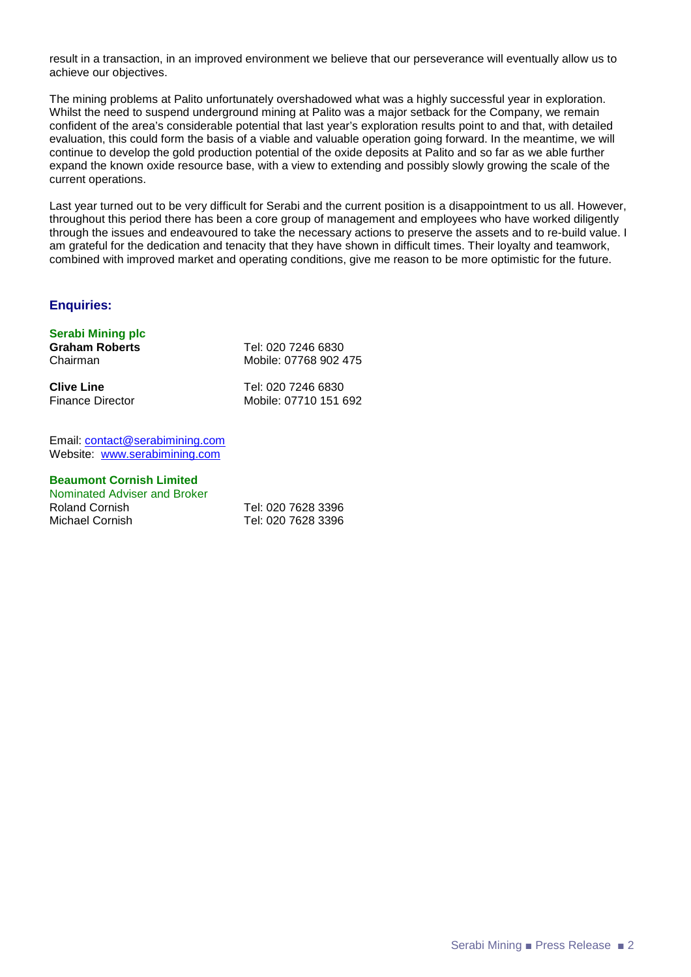result in a transaction, in an improved environment we believe that our perseverance will eventually allow us to achieve our objectives.

The mining problems at Palito unfortunately overshadowed what was a highly successful year in exploration. Whilst the need to suspend underground mining at Palito was a major setback for the Company, we remain confident of the area's considerable potential that last year's exploration results point to and that, with detailed evaluation, this could form the basis of a viable and valuable operation going forward. In the meantime, we will continue to develop the gold production potential of the oxide deposits at Palito and so far as we able further expand the known oxide resource base, with a view to extending and possibly slowly growing the scale of the current operations.

Last year turned out to be very difficult for Serabi and the current position is a disappointment to us all. However, throughout this period there has been a core group of management and employees who have worked diligently through the issues and endeavoured to take the necessary actions to preserve the assets and to re-build value. I am grateful for the dedication and tenacity that they have shown in difficult times. Their loyalty and teamwork, combined with improved market and operating conditions, give me reason to be more optimistic for the future.

#### **Enquiries:**

#### **Serabi Mining plc**

| <b>Graham Roberts</b>   | Tel: 020 7246 6830    |
|-------------------------|-----------------------|
| Chairman                | Mobile: 07768 902 475 |
| <b>Clive Line</b>       | Tel: 020 7246 6830    |
| <b>Finance Director</b> | Mobile: 07710 151 692 |

Email: contact@serabimining.com Website: www.serabimining.com

#### **Beaumont Cornish Limited**  Nominated Adviser and Broker

Roland Cornish Tel: 020 7628 3396 Michael Cornish Tel: 020 7628 3396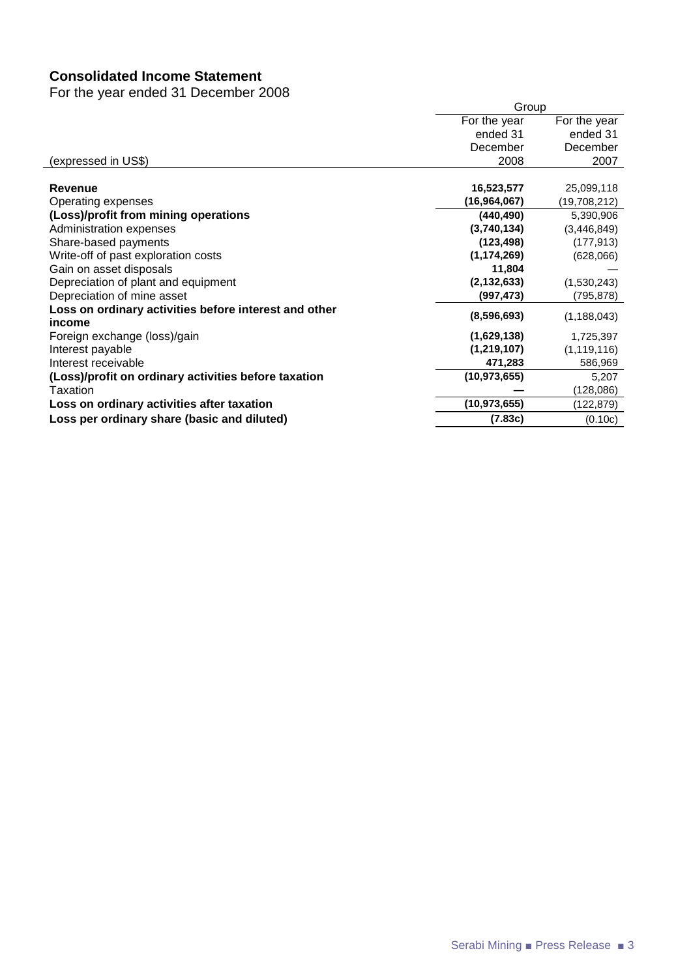## **Consolidated Income Statement**

For the year ended 31 December 2008

|                                                                 | Group                        |               |  |
|-----------------------------------------------------------------|------------------------------|---------------|--|
|                                                                 | For the year<br>For the year |               |  |
|                                                                 | ended 31                     | ended 31      |  |
|                                                                 | December                     | December      |  |
| (expressed in US\$)                                             | 2008                         | 2007          |  |
|                                                                 |                              |               |  |
| Revenue                                                         | 16,523,577                   | 25,099,118    |  |
| Operating expenses                                              | (16, 964, 067)               | (19,708,212)  |  |
| (Loss)/profit from mining operations                            | (440, 490)                   | 5,390,906     |  |
| Administration expenses                                         | (3,740,134)                  | (3,446,849)   |  |
| Share-based payments                                            | (123, 498)                   | (177, 913)    |  |
| Write-off of past exploration costs                             | (1, 174, 269)                | (628,066)     |  |
| Gain on asset disposals                                         | 11,804                       |               |  |
| Depreciation of plant and equipment                             | (2, 132, 633)                | (1,530,243)   |  |
| Depreciation of mine asset                                      | (997, 473)                   | (795,878)     |  |
| Loss on ordinary activities before interest and other<br>income | (8,596,693)                  | (1, 188, 043) |  |
| Foreign exchange (loss)/gain                                    | (1,629,138)                  | 1,725,397     |  |
| Interest payable                                                | (1, 219, 107)                | (1, 119, 116) |  |
| Interest receivable                                             | 471,283                      | 586,969       |  |
| (Loss)/profit on ordinary activities before taxation            | (10, 973, 655)               | 5,207         |  |
| Taxation                                                        |                              | (128, 086)    |  |
| Loss on ordinary activities after taxation                      | (10, 973, 655)               | (122,879)     |  |
| Loss per ordinary share (basic and diluted)                     | (7.83c)                      | (0.10c)       |  |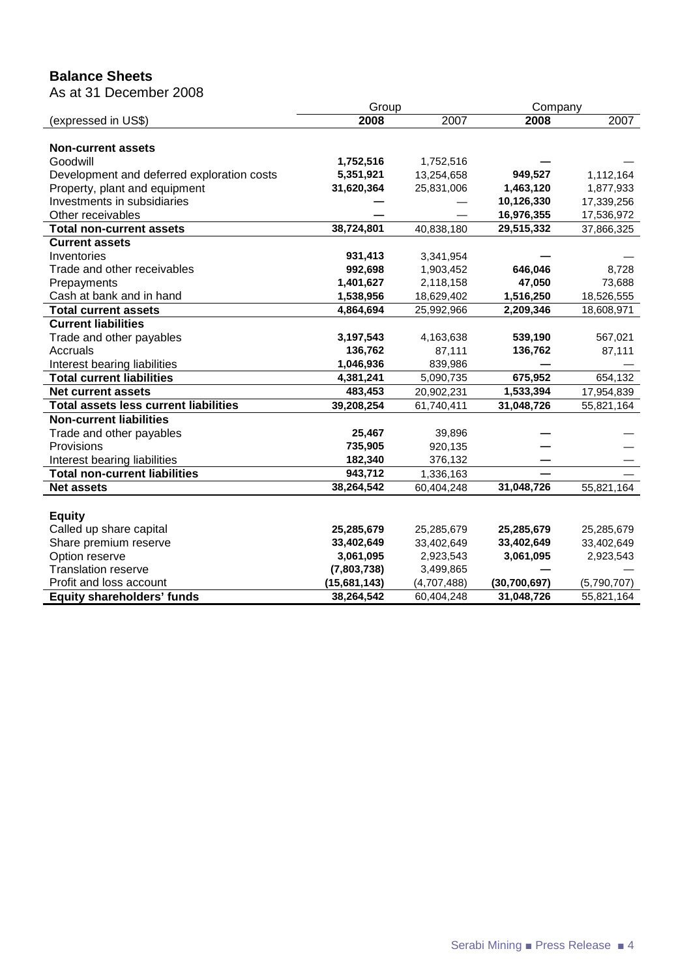## **Balance Sheets**

As at 31 December 2008

|                                              | Group        |             | Company        |             |
|----------------------------------------------|--------------|-------------|----------------|-------------|
| (expressed in US\$)                          | 2008         | 2007        | 2008           | 2007        |
|                                              |              |             |                |             |
| <b>Non-current assets</b>                    |              |             |                |             |
| Goodwill                                     | 1,752,516    | 1,752,516   |                |             |
| Development and deferred exploration costs   | 5,351,921    | 13,254,658  | 949,527        | 1,112,164   |
| Property, plant and equipment                | 31,620,364   | 25,831,006  | 1,463,120      | 1,877,933   |
| Investments in subsidiaries                  |              |             | 10,126,330     | 17,339,256  |
| Other receivables                            |              |             | 16,976,355     | 17,536,972  |
| <b>Total non-current assets</b>              | 38,724,801   | 40,838,180  | 29,515,332     | 37,866,325  |
| <b>Current assets</b>                        |              |             |                |             |
| Inventories                                  | 931,413      | 3,341,954   |                |             |
| Trade and other receivables                  | 992,698      | 1,903,452   | 646,046        | 8,728       |
| Prepayments                                  | 1,401,627    | 2,118,158   | 47,050         | 73,688      |
| Cash at bank and in hand                     | 1,538,956    | 18,629,402  | 1,516,250      | 18,526,555  |
| <b>Total current assets</b>                  | 4,864,694    | 25,992,966  | 2,209,346      | 18,608,971  |
| <b>Current liabilities</b>                   |              |             |                |             |
| Trade and other payables                     | 3,197,543    | 4,163,638   | 539,190        | 567,021     |
| Accruals                                     | 136,762      | 87,111      | 136,762        | 87,111      |
| Interest bearing liabilities                 | 1,046,936    | 839,986     |                |             |
| <b>Total current liabilities</b>             | 4,381,241    | 5,090,735   | 675,952        | 654,132     |
| <b>Net current assets</b>                    | 483,453      | 20,902,231  | 1,533,394      | 17,954,839  |
| <b>Total assets less current liabilities</b> | 39,208,254   | 61,740,411  | 31,048,726     | 55,821,164  |
| <b>Non-current liabilities</b>               |              |             |                |             |
| Trade and other payables                     | 25,467       | 39,896      |                |             |
| Provisions                                   | 735,905      | 920,135     |                |             |
| Interest bearing liabilities                 | 182,340      | 376,132     |                |             |
| <b>Total non-current liabilities</b>         | 943,712      | 1,336,163   |                |             |
| <b>Net assets</b>                            | 38,264,542   | 60,404,248  | 31,048,726     | 55,821,164  |
|                                              |              |             |                |             |
| <b>Equity</b>                                |              |             |                |             |
| Called up share capital                      | 25,285,679   | 25,285,679  | 25,285,679     | 25,285,679  |
| Share premium reserve                        | 33,402,649   | 33,402,649  | 33,402,649     | 33,402,649  |
| Option reserve                               | 3,061,095    | 2,923,543   | 3,061,095      | 2,923,543   |
| <b>Translation reserve</b>                   | (7,803,738)  | 3,499,865   |                |             |
| Profit and loss account                      | (15,681,143) | (4,707,488) | (30, 700, 697) | (5,790,707) |
| <b>Equity shareholders' funds</b>            | 38,264,542   | 60,404,248  | 31,048,726     | 55,821,164  |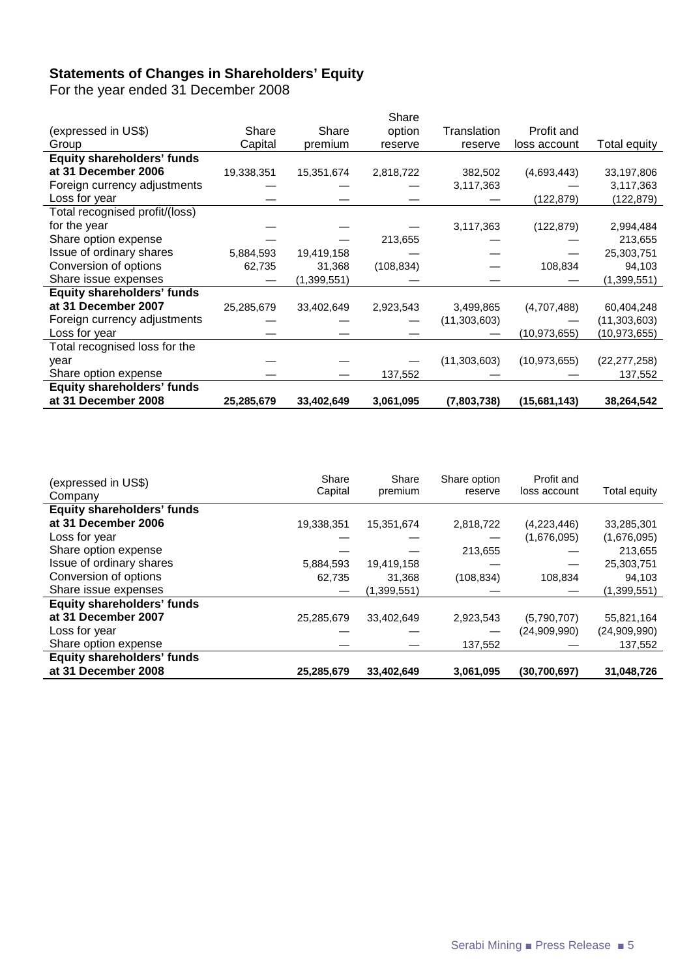### **Statements of Changes in Shareholders' Equity**

For the year ended 31 December 2008

|                                   |            |             | Share      |              |                |                |
|-----------------------------------|------------|-------------|------------|--------------|----------------|----------------|
| (expressed in US\$)               | Share      | Share       | option     | Translation  | Profit and     |                |
| Group                             | Capital    | premium     | reserve    | reserve      | loss account   | Total equity   |
| <b>Equity shareholders' funds</b> |            |             |            |              |                |                |
| at 31 December 2006               | 19,338,351 | 15,351,674  | 2,818,722  | 382,502      | (4,693,443)    | 33,197,806     |
| Foreign currency adjustments      |            |             |            | 3,117,363    |                | 3,117,363      |
| Loss for year                     |            |             |            |              | (122,879)      | (122, 879)     |
| Total recognised profit/(loss)    |            |             |            |              |                |                |
| for the year                      |            |             |            | 3,117,363    | (122, 879)     | 2,994,484      |
| Share option expense              |            |             | 213,655    |              |                | 213,655        |
| Issue of ordinary shares          | 5,884,593  | 19,419,158  |            |              |                | 25,303,751     |
| Conversion of options             | 62,735     | 31,368      | (108, 834) |              | 108,834        | 94,103         |
| Share issue expenses              |            | (1,399,551) |            |              |                | (1,399,551)    |
| <b>Equity shareholders' funds</b> |            |             |            |              |                |                |
| at 31 December 2007               | 25,285,679 | 33,402,649  | 2,923,543  | 3,499,865    | (4,707,488)    | 60,404,248     |
| Foreign currency adjustments      |            |             |            | (11,303,603) |                | (11,303,603)   |
| Loss for year                     |            |             |            |              | (10, 973, 655) | (10, 973, 655) |
| Total recognised loss for the     |            |             |            |              |                |                |
| year                              |            |             |            | (11,303,603) | (10, 973, 655) | (22, 277, 258) |
| Share option expense              |            |             | 137,552    |              |                | 137,552        |
| <b>Equity shareholders' funds</b> |            |             |            |              |                |                |
| at 31 December 2008               | 25,285,679 | 33,402,649  | 3,061,095  | (7,803,738)  | (15,681,143)   | 38,264,542     |

| (expressed in US\$)<br>Company    | Share<br>Capital | Share<br>premium | Share option<br>reserve | Profit and<br>loss account | Total equity |
|-----------------------------------|------------------|------------------|-------------------------|----------------------------|--------------|
| <b>Equity shareholders' funds</b> |                  |                  |                         |                            |              |
| at 31 December 2006               | 19,338,351       | 15,351,674       | 2,818,722               | (4,223,446)                | 33,285,301   |
| Loss for year                     |                  |                  |                         | (1,676,095)                | (1,676,095)  |
| Share option expense              |                  |                  | 213,655                 |                            | 213,655      |
| Issue of ordinary shares          | 5,884,593        | 19,419,158       |                         |                            | 25,303,751   |
| Conversion of options             | 62.735           | 31.368           | (108, 834)              | 108,834                    | 94,103       |
| Share issue expenses              |                  | (1,399,551)      |                         |                            | (1,399,551)  |
| <b>Equity shareholders' funds</b> |                  |                  |                         |                            |              |
| at 31 December 2007               | 25,285,679       | 33.402.649       | 2,923,543               | (5,790,707)                | 55,821,164   |
| Loss for year                     |                  |                  |                         | (24,909,990)               | (24,909,990) |
| Share option expense              |                  |                  | 137,552                 |                            | 137,552      |
| <b>Equity shareholders' funds</b> |                  |                  |                         |                            |              |
| at 31 December 2008               | 25,285,679       | 33,402,649       | 3,061,095               | (30,700,697)               | 31,048,726   |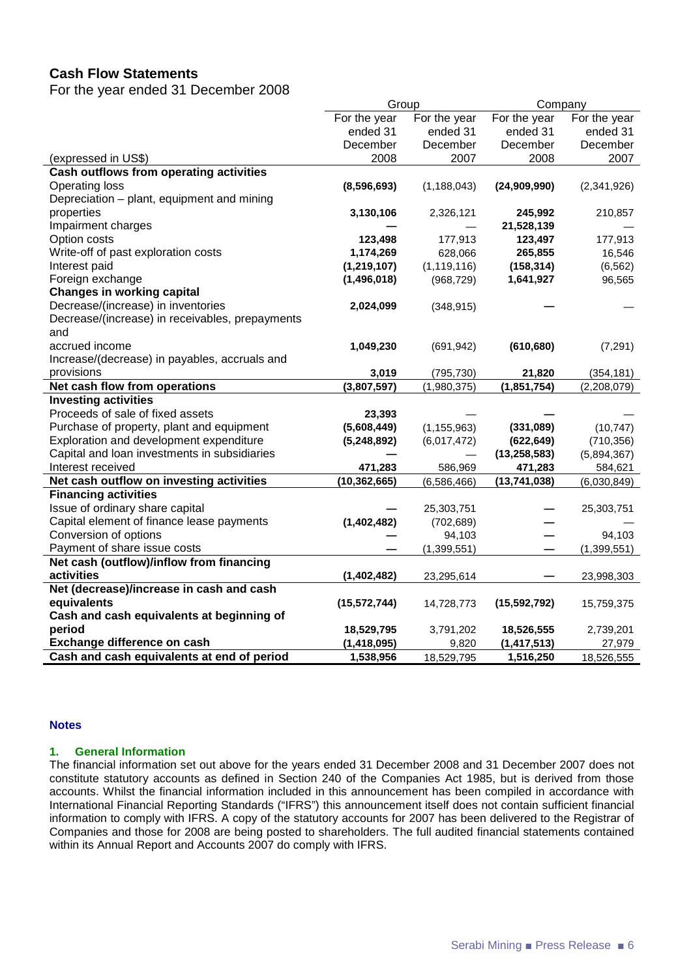### **Cash Flow Statements**

For the year ended 31 December 2008

|                                                 | Group          |               | Company        |               |
|-------------------------------------------------|----------------|---------------|----------------|---------------|
|                                                 | For the year   | For the year  | For the year   | For the year  |
|                                                 | ended 31       | ended 31      | ended 31       | ended 31      |
|                                                 | December       | December      | December       | December      |
| (expressed in US\$)                             | 2008           | 2007          | 2008           | 2007          |
| <b>Cash outflows from operating activities</b>  |                |               |                |               |
| Operating loss                                  | (8,596,693)    | (1, 188, 043) | (24,909,990)   | (2,341,926)   |
| Depreciation - plant, equipment and mining      |                |               |                |               |
| properties                                      | 3,130,106      | 2,326,121     | 245,992        | 210,857       |
| Impairment charges                              |                |               | 21,528,139     |               |
| Option costs                                    | 123,498        | 177,913       | 123,497        | 177,913       |
| Write-off of past exploration costs             | 1,174,269      | 628,066       | 265,855        | 16,546        |
| Interest paid                                   | (1,219,107)    | (1, 119, 116) | (158, 314)     | (6, 562)      |
| Foreign exchange                                | (1,496,018)    | (968, 729)    | 1,641,927      | 96,565        |
| <b>Changes in working capital</b>               |                |               |                |               |
| Decrease/(increase) in inventories              | 2,024,099      | (348, 915)    |                |               |
| Decrease/(increase) in receivables, prepayments |                |               |                |               |
| and                                             |                |               |                |               |
| accrued income                                  | 1,049,230      | (691, 942)    | (610, 680)     | (7, 291)      |
| Increase/(decrease) in payables, accruals and   |                |               |                |               |
| provisions                                      | 3,019          | (795, 730)    | 21,820         | (354, 181)    |
| Net cash flow from operations                   | (3,807,597)    | (1,980,375)   | (1, 851, 754)  | (2,208,079)   |
| <b>Investing activities</b>                     |                |               |                |               |
| Proceeds of sale of fixed assets                | 23,393         |               |                |               |
| Purchase of property, plant and equipment       | (5,608,449)    | (1, 155, 963) | (331,089)      | (10, 747)     |
| Exploration and development expenditure         | (5,248,892)    | (6,017,472)   | (622, 649)     | (710, 356)    |
| Capital and loan investments in subsidiaries    |                |               | (13, 258, 583) | (5,894,367)   |
| Interest received                               | 471,283        | 586,969       | 471,283        | 584,621       |
| Net cash outflow on investing activities        | (10, 362, 665) | (6,586,466)   | (13,741,038)   | (6,030,849)   |
| <b>Financing activities</b>                     |                |               |                |               |
| Issue of ordinary share capital                 |                | 25,303,751    |                | 25,303,751    |
| Capital element of finance lease payments       | (1,402,482)    | (702, 689)    |                |               |
| Conversion of options                           |                | 94,103        |                | 94,103        |
| Payment of share issue costs                    |                | (1, 399, 551) |                | (1, 399, 551) |
| Net cash (outflow)/inflow from financing        |                |               |                |               |
| activities                                      | (1,402,482)    | 23,295,614    |                | 23,998,303    |
| Net (decrease)/increase in cash and cash        |                |               |                |               |
| equivalents                                     | (15, 572, 744) | 14,728,773    | (15, 592, 792) | 15,759,375    |
| Cash and cash equivalents at beginning of       |                |               |                |               |
| period                                          | 18,529,795     | 3,791,202     | 18,526,555     | 2,739,201     |
| Exchange difference on cash                     | (1, 418, 095)  | 9,820         | (1, 417, 513)  | 27,979        |
| Cash and cash equivalents at end of period      | 1,538,956      | 18,529,795    | 1,516,250      | 18,526,555    |

#### **Notes**

#### **1. General Information**

The financial information set out above for the years ended 31 December 2008 and 31 December 2007 does not constitute statutory accounts as defined in Section 240 of the Companies Act 1985, but is derived from those accounts. Whilst the financial information included in this announcement has been compiled in accordance with International Financial Reporting Standards ("IFRS") this announcement itself does not contain sufficient financial information to comply with IFRS. A copy of the statutory accounts for 2007 has been delivered to the Registrar of Companies and those for 2008 are being posted to shareholders. The full audited financial statements contained within its Annual Report and Accounts 2007 do comply with IFRS.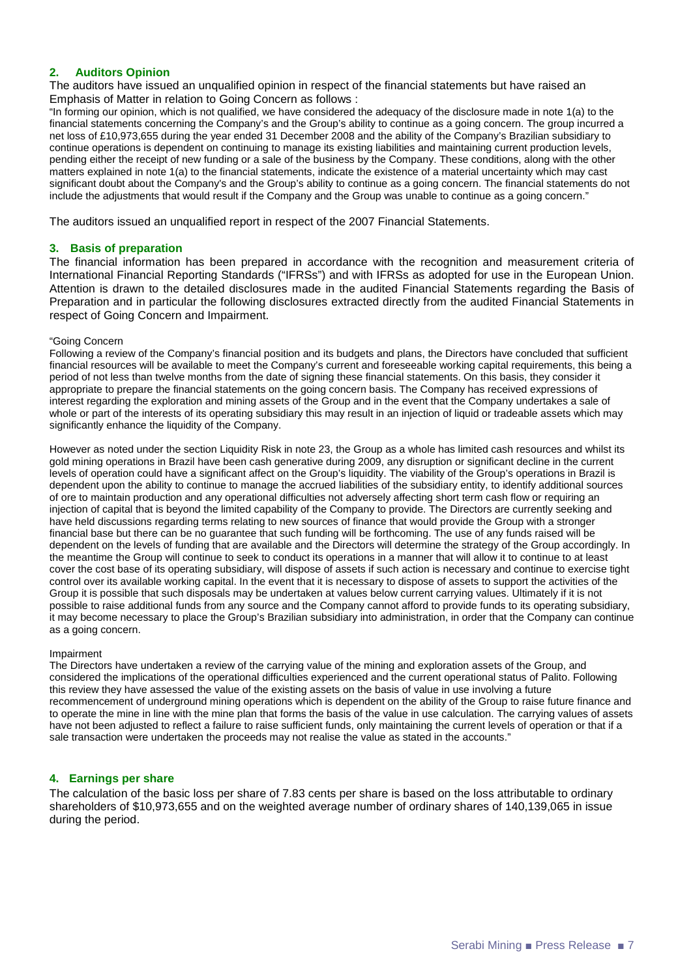#### **2. Auditors Opinion**

The auditors have issued an unqualified opinion in respect of the financial statements but have raised an Emphasis of Matter in relation to Going Concern as follows :

"In forming our opinion, which is not qualified, we have considered the adequacy of the disclosure made in note 1(a) to the financial statements concerning the Company's and the Group's ability to continue as a going concern. The group incurred a net loss of £10,973,655 during the year ended 31 December 2008 and the ability of the Company's Brazilian subsidiary to continue operations is dependent on continuing to manage its existing liabilities and maintaining current production levels, pending either the receipt of new funding or a sale of the business by the Company. These conditions, along with the other matters explained in note 1(a) to the financial statements, indicate the existence of a material uncertainty which may cast significant doubt about the Company's and the Group's ability to continue as a going concern. The financial statements do not include the adjustments that would result if the Company and the Group was unable to continue as a going concern."

The auditors issued an unqualified report in respect of the 2007 Financial Statements.

#### **3. Basis of preparation**

The financial information has been prepared in accordance with the recognition and measurement criteria of International Financial Reporting Standards ("IFRSs") and with IFRSs as adopted for use in the European Union. Attention is drawn to the detailed disclosures made in the audited Financial Statements regarding the Basis of Preparation and in particular the following disclosures extracted directly from the audited Financial Statements in respect of Going Concern and Impairment.

#### "Going Concern

Following a review of the Company's financial position and its budgets and plans, the Directors have concluded that sufficient financial resources will be available to meet the Company's current and foreseeable working capital requirements, this being a period of not less than twelve months from the date of signing these financial statements. On this basis, they consider it appropriate to prepare the financial statements on the going concern basis. The Company has received expressions of interest regarding the exploration and mining assets of the Group and in the event that the Company undertakes a sale of whole or part of the interests of its operating subsidiary this may result in an injection of liquid or tradeable assets which may significantly enhance the liquidity of the Company.

However as noted under the section Liquidity Risk in note 23, the Group as a whole has limited cash resources and whilst its gold mining operations in Brazil have been cash generative during 2009, any disruption or significant decline in the current levels of operation could have a significant affect on the Group's liquidity. The viability of the Group's operations in Brazil is dependent upon the ability to continue to manage the accrued liabilities of the subsidiary entity, to identify additional sources of ore to maintain production and any operational difficulties not adversely affecting short term cash flow or requiring an injection of capital that is beyond the limited capability of the Company to provide. The Directors are currently seeking and have held discussions regarding terms relating to new sources of finance that would provide the Group with a stronger financial base but there can be no guarantee that such funding will be forthcoming. The use of any funds raised will be dependent on the levels of funding that are available and the Directors will determine the strategy of the Group accordingly. In the meantime the Group will continue to seek to conduct its operations in a manner that will allow it to continue to at least cover the cost base of its operating subsidiary, will dispose of assets if such action is necessary and continue to exercise tight control over its available working capital. In the event that it is necessary to dispose of assets to support the activities of the Group it is possible that such disposals may be undertaken at values below current carrying values. Ultimately if it is not possible to raise additional funds from any source and the Company cannot afford to provide funds to its operating subsidiary, it may become necessary to place the Group's Brazilian subsidiary into administration, in order that the Company can continue as a going concern.

#### Impairment

The Directors have undertaken a review of the carrying value of the mining and exploration assets of the Group, and considered the implications of the operational difficulties experienced and the current operational status of Palito. Following this review they have assessed the value of the existing assets on the basis of value in use involving a future recommencement of underground mining operations which is dependent on the ability of the Group to raise future finance and to operate the mine in line with the mine plan that forms the basis of the value in use calculation. The carrying values of assets have not been adjusted to reflect a failure to raise sufficient funds, only maintaining the current levels of operation or that if a sale transaction were undertaken the proceeds may not realise the value as stated in the accounts."

#### **4. Earnings per share**

The calculation of the basic loss per share of 7.83 cents per share is based on the loss attributable to ordinary shareholders of \$10,973,655 and on the weighted average number of ordinary shares of 140,139,065 in issue during the period.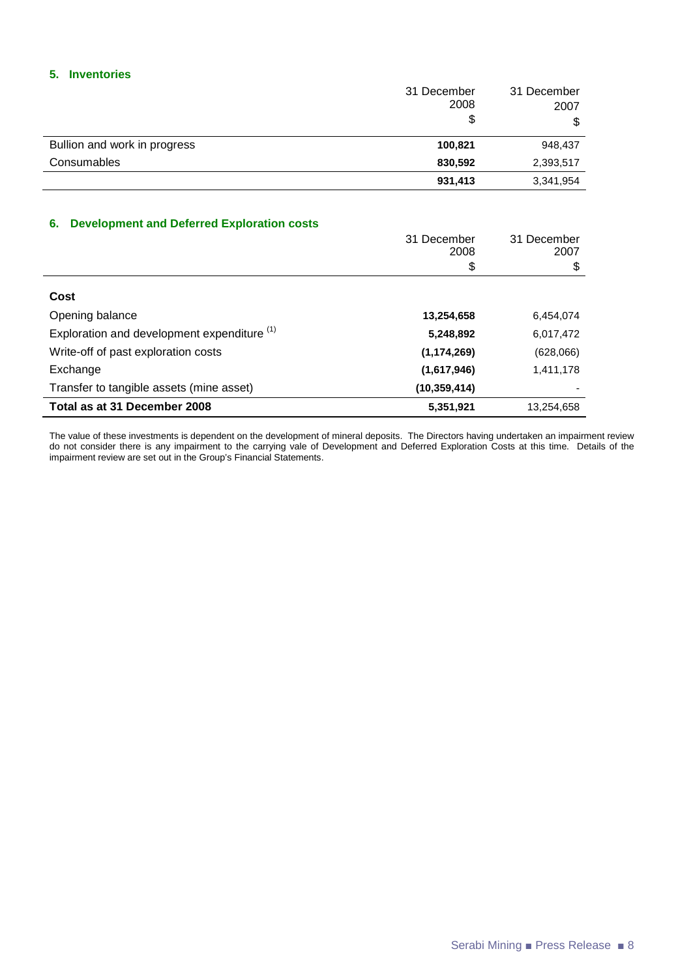#### **5. Inventories**

|                              | 31 December<br>2008<br>\$ | 31 December<br>2007<br>\$ |
|------------------------------|---------------------------|---------------------------|
| Bullion and work in progress | 100,821                   | 948,437                   |
| Consumables                  | 830,592                   | 2,393,517                 |
|                              | 931,413                   | 3,341,954                 |

#### **6. Development and Deferred Exploration costs**

|                                                        | 31 December<br>2008 | 31 December<br>2007 |
|--------------------------------------------------------|---------------------|---------------------|
|                                                        | \$                  | \$                  |
| Cost                                                   |                     |                     |
| Opening balance                                        | 13,254,658          | 6,454,074           |
| Exploration and development expenditure <sup>(1)</sup> | 5,248,892           | 6,017,472           |
| Write-off of past exploration costs                    | (1, 174, 269)       | (628,066)           |
| Exchange                                               | (1,617,946)         | 1,411,178           |
| Transfer to tangible assets (mine asset)               | (10, 359, 414)      |                     |
| Total as at 31 December 2008                           | 5,351,921           | 13,254,658          |

The value of these investments is dependent on the development of mineral deposits. The Directors having undertaken an impairment review do not consider there is any impairment to the carrying vale of Development and Deferred Exploration Costs at this time. Details of the impairment review are set out in the Group's Financial Statements.